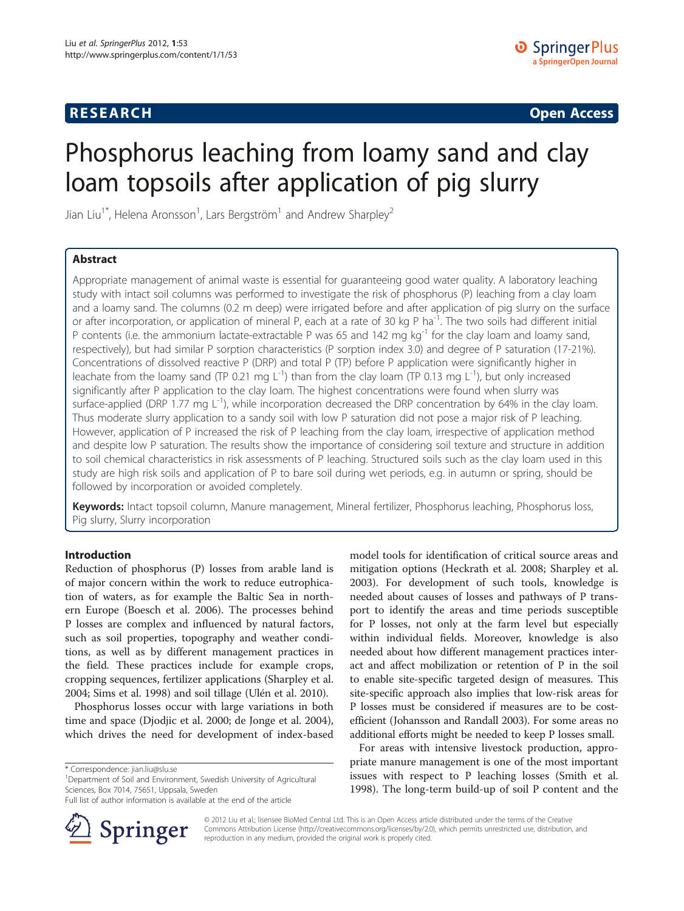## **RESEARCH CHINESE ARCH CHINESE ARCH CHINESE ARCH <b>CHINESE ARCH**

# Phosphorus leaching from loamy sand and clay loam topsoils after application of pig slurry

Jian Liu<sup>1\*</sup>, Helena Aronsson<sup>1</sup>, Lars Bergström<sup>1</sup> and Andrew Sharpley<sup>2</sup>

## Abstract

Appropriate management of animal waste is essential for guaranteeing good water quality. A laboratory leaching study with intact soil columns was performed to investigate the risk of phosphorus (P) leaching from a clay loam and a loamy sand. The columns (0.2 m deep) were irrigated before and after application of pig slurry on the surface or after incorporation, or application of mineral P, each at a rate of 30 kg P ha<sup>-1</sup>. The two soils had different initial P contents (i.e. the ammonium lactate-extractable P was 65 and 142 mg  $kg^{-1}$  for the clay loam and loamy sand, respectively), but had similar P sorption characteristics (P sorption index 3.0) and degree of P saturation (17-21%). Concentrations of dissolved reactive P (DRP) and total P (TP) before P application were significantly higher in leachate from the loamy sand (TP 0.21 mg  $L^{-1}$ ) than from the clay loam (TP 0.13 mg  $L^{-1}$ ), but only increased significantly after P application to the clay loam. The highest concentrations were found when slurry was surface-applied (DRP 1.77 mg  $L^{-1}$ ), while incorporation decreased the DRP concentration by 64% in the clay loam. Thus moderate slurry application to a sandy soil with low P saturation did not pose a major risk of P leaching. However, application of P increased the risk of P leaching from the clay loam, irrespective of application method and despite low P saturation. The results show the importance of considering soil texture and structure in addition to soil chemical characteristics in risk assessments of P leaching. Structured soils such as the clay loam used in this study are high risk soils and application of P to bare soil during wet periods, e.g. in autumn or spring, should be followed by incorporation or avoided completely.

Keywords: Intact topsoil column, Manure management, Mineral fertilizer, Phosphorus leaching, Phosphorus loss, Pig slurry, Slurry incorporation

## Introduction

Reduction of phosphorus (P) losses from arable land is of major concern within the work to reduce eutrophication of waters, as for example the Baltic Sea in northern Europe (Boesch et al. [2006](#page-8-0)). The processes behind P losses are complex and influenced by natural factors, such as soil properties, topography and weather conditions, as well as by different management practices in the field. These practices include for example crops, cropping sequences, fertilizer applications (Sharpley et al. [2004](#page-8-0); Sims et al. [1998\)](#page-9-0) and soil tillage (Ulén et al. [2010\)](#page-9-0).

Phosphorus losses occur with large variations in both time and space (Djodjic et al. [2000](#page-8-0); de Jonge et al. [2004](#page-8-0)), which drives the need for development of index-based

Full list of author information is available at the end of the article



model tools for identification of critical source areas and mitigation options (Heckrath et al. [2008](#page-8-0); Sharpley et al. [2003](#page-8-0)). For development of such tools, knowledge is needed about causes of losses and pathways of P transport to identify the areas and time periods susceptible for P losses, not only at the farm level but especially within individual fields. Moreover, knowledge is also needed about how different management practices interact and affect mobilization or retention of P in the soil to enable site-specific targeted design of measures. This site-specific approach also implies that low-risk areas for P losses must be considered if measures are to be costefficient (Johansson and Randall [2003](#page-8-0)). For some areas no additional efforts might be needed to keep P losses small.

For areas with intensive livestock production, appropriate manure management is one of the most important issues with respect to P leaching losses (Smith et al. [1998](#page-9-0)). The long-term build-up of soil P content and the

© 2012 Liu et al.; lisensee BioMed Central Ltd. This is an Open Access article distributed under the terms of the Creative Commons Attribution License (<http://creativecommons.org/licenses/by/2.0>), which permits unrestricted use, distribution, and reproduction in any medium, provided the original work is properly cited.

<sup>\*</sup> Correspondence: [jian.liu@slu.se](mailto:jian.liu@slu.se) <sup>1</sup>

<sup>&</sup>lt;sup>1</sup>Department of Soil and Environment, Swedish University of Agricultural Sciences, Box 7014, 75651, Uppsala, Sweden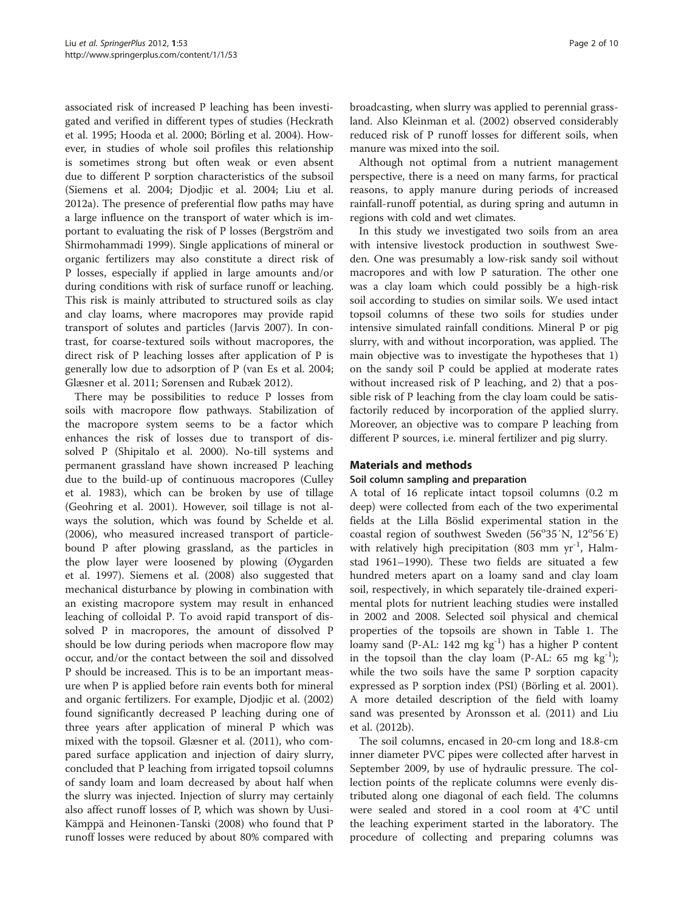associated risk of increased P leaching has been investigated and verified in different types of studies (Heckrath et al. [1995](#page-8-0); Hooda et al. [2000;](#page-8-0) Börling et al. [2004\)](#page-8-0). However, in studies of whole soil profiles this relationship is sometimes strong but often weak or even absent due to different P sorption characteristics of the subsoil (Siemens et al. [2004](#page-9-0); Djodjic et al. [2004](#page-8-0); Liu et al. [2012a\)](#page-8-0). The presence of preferential flow paths may have a large influence on the transport of water which is important to evaluating the risk of P losses (Bergström and Shirmohammadi [1999\)](#page-8-0). Single applications of mineral or organic fertilizers may also constitute a direct risk of P losses, especially if applied in large amounts and/or during conditions with risk of surface runoff or leaching. This risk is mainly attributed to structured soils as clay and clay loams, where macropores may provide rapid transport of solutes and particles (Jarvis [2007\)](#page-8-0). In contrast, for coarse-textured soils without macropores, the direct risk of P leaching losses after application of P is generally low due to adsorption of P (van Es et al. [2004](#page-9-0); Glæsner et al. [2011;](#page-8-0) Sørensen and Rubæk [2012\)](#page-9-0).

There may be possibilities to reduce P losses from soils with macropore flow pathways. Stabilization of the macropore system seems to be a factor which enhances the risk of losses due to transport of dissolved P (Shipitalo et al. [2000](#page-9-0)). No-till systems and permanent grassland have shown increased P leaching due to the build-up of continuous macropores (Culley et al. [1983\)](#page-8-0), which can be broken by use of tillage (Geohring et al. [2001](#page-8-0)). However, soil tillage is not always the solution, which was found by Schelde et al. ([2006](#page-8-0)), who measured increased transport of particlebound P after plowing grassland, as the particles in the plow layer were loosened by plowing (Øygarden et al. [1997\)](#page-8-0). Siemens et al. ([2008](#page-9-0)) also suggested that mechanical disturbance by plowing in combination with an existing macropore system may result in enhanced leaching of colloidal P. To avoid rapid transport of dissolved P in macropores, the amount of dissolved P should be low during periods when macropore flow may occur, and/or the contact between the soil and dissolved P should be increased. This is to be an important measure when P is applied before rain events both for mineral and organic fertilizers. For example, Djodjic et al. ([2002](#page-8-0)) found significantly decreased P leaching during one of three years after application of mineral P which was mixed with the topsoil. Glæsner et al. [\(2011\)](#page-8-0), who compared surface application and injection of dairy slurry, concluded that P leaching from irrigated topsoil columns of sandy loam and loam decreased by about half when the slurry was injected. Injection of slurry may certainly also affect runoff losses of P, which was shown by Uusi-Kämppä and Heinonen-Tanski [\(2008\)](#page-9-0) who found that P runoff losses were reduced by about 80% compared with

broadcasting, when slurry was applied to perennial grassland. Also Kleinman et al. ([2002](#page-8-0)) observed considerably reduced risk of P runoff losses for different soils, when manure was mixed into the soil.

Although not optimal from a nutrient management perspective, there is a need on many farms, for practical reasons, to apply manure during periods of increased rainfall-runoff potential, as during spring and autumn in regions with cold and wet climates.

In this study we investigated two soils from an area with intensive livestock production in southwest Sweden. One was presumably a low-risk sandy soil without macropores and with low P saturation. The other one was a clay loam which could possibly be a high-risk soil according to studies on similar soils. We used intact topsoil columns of these two soils for studies under intensive simulated rainfall conditions. Mineral P or pig slurry, with and without incorporation, was applied. The main objective was to investigate the hypotheses that 1) on the sandy soil P could be applied at moderate rates without increased risk of P leaching, and 2) that a possible risk of P leaching from the clay loam could be satisfactorily reduced by incorporation of the applied slurry. Moreover, an objective was to compare P leaching from different P sources, i.e. mineral fertilizer and pig slurry.

## Materials and methods

## Soil column sampling and preparation

A total of 16 replicate intact topsoil columns (0.2 m deep) were collected from each of the two experimental fields at the Lilla Böslid experimental station in the coastal region of southwest Sweden (56°35'N, 12°56'E) with relatively high precipitation (803 mm  $yr^{-1}$ , Halmstad 1961–1990). These two fields are situated a few hundred meters apart on a loamy sand and clay loam soil, respectively, in which separately tile-drained experimental plots for nutrient leaching studies were installed in 2002 and 2008. Selected soil physical and chemical properties of the topsoils are shown in Table [1.](#page-2-0) The loamy sand (P-AL:  $142$  mg kg<sup>-1</sup>) has a higher P content in the topsoil than the clay loam (P-AL:  $65$  mg kg<sup>-1</sup>); while the two soils have the same P sorption capacity expressed as P sorption index (PSI) (Börling et al. [2001](#page-8-0)). A more detailed description of the field with loamy sand was presented by Aronsson et al. [\(2011\)](#page-8-0) and Liu et al. [\(2012b](#page-8-0)).

The soil columns, encased in 20-cm long and 18.8-cm inner diameter PVC pipes were collected after harvest in September 2009, by use of hydraulic pressure. The collection points of the replicate columns were evenly distributed along one diagonal of each field. The columns were sealed and stored in a cool room at 4°C until the leaching experiment started in the laboratory. The procedure of collecting and preparing columns was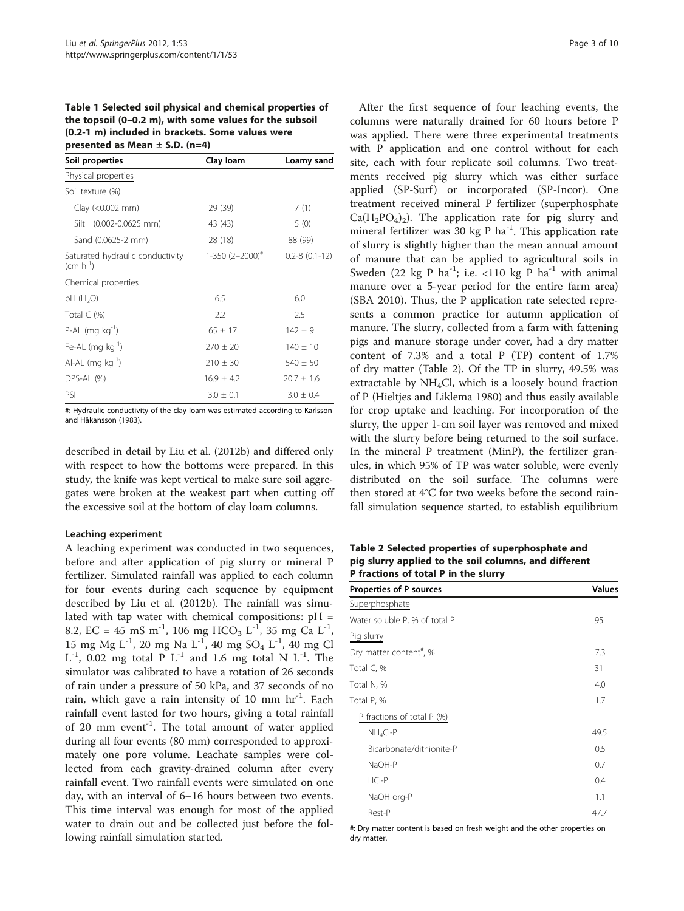<span id="page-2-0"></span>Table 1 Selected soil physical and chemical properties of the topsoil (0–0.2 m), with some values for the subsoil (0.2-1 m) included in brackets. Some values were presented as Mean  $\pm$  S.D. (n=4)

| Soil properties                                   | Clay Ioam                   | Loamy sand             |  |
|---------------------------------------------------|-----------------------------|------------------------|--|
| Physical properties                               |                             |                        |  |
| Soil texture (%)                                  |                             |                        |  |
| Clay (<0.002 mm)                                  | 29 (39)                     | 7(1)                   |  |
| Silt (0.002-0.0625 mm)                            | 43 (43)                     | 5(0)                   |  |
| Sand (0.0625-2 mm)                                | 28 (18)                     | 88 (99)                |  |
| Saturated hydraulic conductivity<br>$(cm h^{-1})$ | $1 - 350$ $(2 - 2000)^{\#}$ | $0.2 - 8$ $(0.1 - 12)$ |  |
| Chemical properties                               |                             |                        |  |
| pH(H <sub>2</sub> O)                              | 6.5                         | 6.0                    |  |
| Total $\subset$ (%)                               | 2.2                         | 2.5                    |  |
| $P-AL$ (mg kg <sup>-1</sup> )                     | $65 \pm 17$                 | $142 \pm 9$            |  |
| Fe-AL (mg kg <sup>-1</sup> )                      | $270 \pm 20$                | $140 \pm 10$           |  |
| Al-AL ( $mg$ kg <sup>-1</sup> )                   | $210 \pm 30$                | $540 \pm 50$           |  |
| DPS-AL (%)                                        | $16.9 \pm 4.2$              | $20.7 \pm 1.6$         |  |
| PSI                                               | $3.0 \pm 0.1$               | $3.0 \pm 0.4$          |  |

#: Hydraulic conductivity of the clay loam was estimated according to Karlsson and Håkansson ([1983\)](#page-8-0).

described in detail by Liu et al. ([2012b\)](#page-8-0) and differed only with respect to how the bottoms were prepared. In this study, the knife was kept vertical to make sure soil aggregates were broken at the weakest part when cutting off the excessive soil at the bottom of clay loam columns.

## Leaching experiment

A leaching experiment was conducted in two sequences, before and after application of pig slurry or mineral P fertilizer. Simulated rainfall was applied to each column for four events during each sequence by equipment described by Liu et al. ([2012b\)](#page-8-0). The rainfall was simulated with tap water with chemical compositions: pH = 8.2, EC =  $45 \text{ mS m}^{-1}$ , 106 mg HCO<sub>3</sub> L<sup>-1</sup>, 35 mg Ca L<sup>-1</sup>, 15 mg Mg  $L^{-1}$ , 20 mg Na  $L^{-1}$ , 40 mg SO<sub>4</sub>  $L^{-1}$ , 40 mg Cl  $L^{-1}$ , 0.02 mg total P  $L^{-1}$  and 1.6 mg total N  $L^{-1}$ . The simulator was calibrated to have a rotation of 26 seconds of rain under a pressure of 50 kPa, and 37 seconds of no rain, which gave a rain intensity of 10 mm  $hr^{-1}$ . Each rainfall event lasted for two hours, giving a total rainfall of 20 mm event<sup>-1</sup>. The total amount of water applied during all four events (80 mm) corresponded to approximately one pore volume. Leachate samples were collected from each gravity-drained column after every rainfall event. Two rainfall events were simulated on one day, with an interval of 6–16 hours between two events. This time interval was enough for most of the applied water to drain out and be collected just before the following rainfall simulation started.

After the first sequence of four leaching events, the columns were naturally drained for 60 hours before P was applied. There were three experimental treatments with P application and one control without for each site, each with four replicate soil columns. Two treatments received pig slurry which was either surface applied (SP-Surf) or incorporated (SP-Incor). One treatment received mineral P fertilizer (superphosphate  $Ca(H_2PO_4)_2$ ). The application rate for pig slurry and mineral fertilizer was 30 kg P  $ha^{-1}$ . This application rate of slurry is slightly higher than the mean annual amount of manure that can be applied to agricultural soils in Sweden (22 kg P ha<sup>-1</sup>; i.e. <110 kg P ha<sup>-1</sup> with animal manure over a 5-year period for the entire farm area) (SBA [2010\)](#page-8-0). Thus, the P application rate selected represents a common practice for autumn application of manure. The slurry, collected from a farm with fattening pigs and manure storage under cover, had a dry matter content of 7.3% and a total P (TP) content of 1.7% of dry matter (Table 2). Of the TP in slurry, 49.5% was extractable by  $NH<sub>4</sub>Cl$ , which is a loosely bound fraction of P (Hieltjes and Liklema [1980](#page-8-0)) and thus easily available for crop uptake and leaching. For incorporation of the slurry, the upper 1-cm soil layer was removed and mixed with the slurry before being returned to the soil surface. In the mineral P treatment (MinP), the fertilizer granules, in which 95% of TP was water soluble, were evenly distributed on the soil surface. The columns were then stored at 4°C for two weeks before the second rainfall simulation sequence started, to establish equilibrium

Table 2 Selected properties of superphosphate and pig slurry applied to the soil columns, and different P fractions of total P in the slurry

| Properties of P sources       | Values |
|-------------------------------|--------|
| Superphosphate                |        |
| Water soluble P, % of total P | 95     |
| Pig slurry                    |        |
| Dry matter content#, %        | 7.3    |
| Total C, %                    | 31     |
| Total N, %                    | 4.0    |
| Total P, %                    | 1.7    |
| P fractions of total P (%)    |        |
| $NH_4Cl-P$                    | 49.5   |
| Bicarbonate/dithionite-P      | 0.5    |
| NaOH-P                        | 0.7    |
| $HCI-P$                       | 0.4    |
| NaOH org-P                    | 1.1    |
| Rest-P                        | 47.7   |

#: Dry matter content is based on fresh weight and the other properties on dry matter.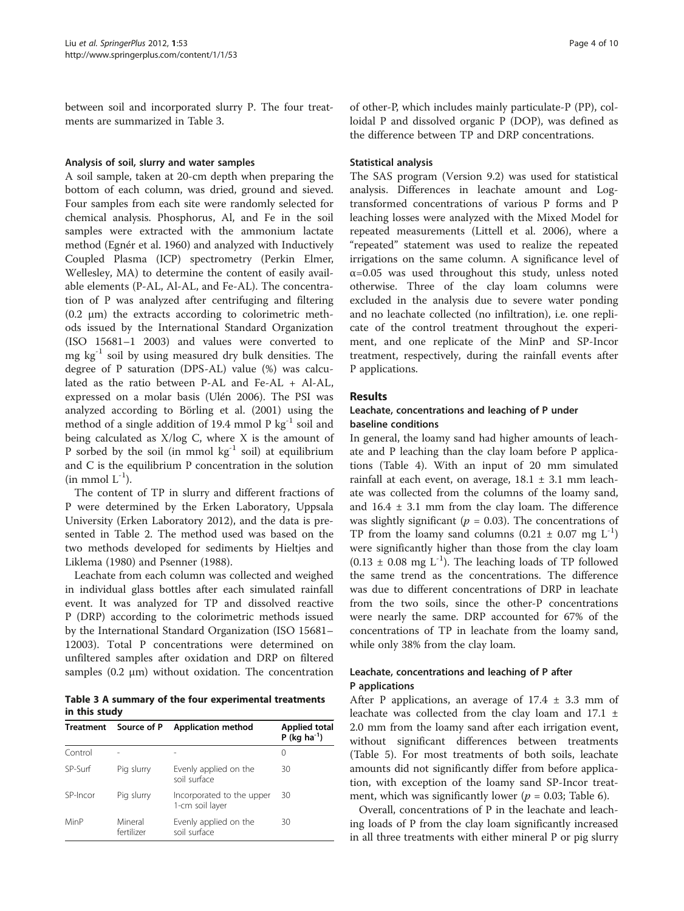between soil and incorporated slurry P. The four treatments are summarized in Table 3.

#### Analysis of soil, slurry and water samples

A soil sample, taken at 20-cm depth when preparing the bottom of each column, was dried, ground and sieved. Four samples from each site were randomly selected for chemical analysis. Phosphorus, Al, and Fe in the soil samples were extracted with the ammonium lactate method (Egnér et al. [1960\)](#page-8-0) and analyzed with Inductively Coupled Plasma (ICP) spectrometry (Perkin Elmer, Wellesley, MA) to determine the content of easily available elements (P-AL, Al-AL, and Fe-AL). The concentration of P was analyzed after centrifuging and filtering (0.2 μm) the extracts according to colorimetric methods issued by the International Standard Organization (ISO 15681–1 [2003\)](#page-8-0) and values were converted to mg  $kg<sup>-1</sup>$  soil by using measured dry bulk densities. The degree of P saturation (DPS-AL) value (%) was calculated as the ratio between P-AL and Fe-AL + Al-AL, expressed on a molar basis (Ulén [2006\)](#page-9-0). The PSI was analyzed according to Börling et al. [\(2001\)](#page-8-0) using the method of a single addition of 19.4 mmol  $P$  kg<sup>-1</sup> soil and being calculated as X/log C, where X is the amount of P sorbed by the soil (in mmol  $kg^{-1}$  soil) at equilibrium and C is the equilibrium P concentration in the solution  $(in \text{ mmol } L^{-1}).$ 

The content of TP in slurry and different fractions of P were determined by the Erken Laboratory, Uppsala University (Erken Laboratory [2012](#page-8-0)), and the data is presented in Table [2.](#page-2-0) The method used was based on the two methods developed for sediments by Hieltjes and Liklema [\(1980\)](#page-8-0) and Psenner ([1988](#page-8-0)).

Leachate from each column was collected and weighed in individual glass bottles after each simulated rainfall event. It was analyzed for TP and dissolved reactive P (DRP) according to the colorimetric methods issued by the International Standard Organization (ISO 15681– 1[2003](#page-8-0)). Total P concentrations were determined on unfiltered samples after oxidation and DRP on filtered samples  $(0.2 \mu m)$  without oxidation. The concentration

Table 3 A summary of the four experimental treatments in this study

| <b>Treatment</b> | Source of P           | <b>Application method</b>                    | <b>Applied total</b><br>$P$ (kg ha <sup>-1</sup> ) |
|------------------|-----------------------|----------------------------------------------|----------------------------------------------------|
| Control          |                       |                                              | $^{()}$                                            |
| SP-Surf          | Pig slurry            | Evenly applied on the<br>soil surface        | 30                                                 |
| SP-Incor         | Pig slurry            | Incorporated to the upper<br>1-cm soil layer | 30                                                 |
| MinP             | Mineral<br>fertilizer | Evenly applied on the<br>soil surface        | 30                                                 |

of other-P, which includes mainly particulate-P (PP), colloidal P and dissolved organic P (DOP), was defined as the difference between TP and DRP concentrations.

## Statistical analysis

The SAS program (Version 9.2) was used for statistical analysis. Differences in leachate amount and Logtransformed concentrations of various P forms and P leaching losses were analyzed with the Mixed Model for repeated measurements (Littell et al. [2006](#page-8-0)), where a "repeated" statement was used to realize the repeated irrigations on the same column. A significance level of  $\alpha$ =0.05 was used throughout this study, unless noted otherwise. Three of the clay loam columns were excluded in the analysis due to severe water ponding and no leachate collected (no infiltration), i.e. one replicate of the control treatment throughout the experiment, and one replicate of the MinP and SP-Incor treatment, respectively, during the rainfall events after P applications.

## **Results**

## Leachate, concentrations and leaching of P under baseline conditions

In general, the loamy sand had higher amounts of leachate and P leaching than the clay loam before P applications (Table [4\)](#page-4-0). With an input of 20 mm simulated rainfall at each event, on average,  $18.1 \pm 3.1$  mm leachate was collected from the columns of the loamy sand, and  $16.4 \pm 3.1$  mm from the clay loam. The difference was slightly significant ( $p = 0.03$ ). The concentrations of TP from the loamy sand columns  $(0.21 \pm 0.07 \text{ mg L}^{-1})$ were significantly higher than those from the clay loam  $(0.13 \pm 0.08 \text{ mg L}^{-1})$ . The leaching loads of TP followed the same trend as the concentrations. The difference was due to different concentrations of DRP in leachate from the two soils, since the other-P concentrations were nearly the same. DRP accounted for 67% of the concentrations of TP in leachate from the loamy sand, while only 38% from the clay loam.

## Leachate, concentrations and leaching of P after P applications

After P applications, an average of 17.4 ± 3.3 mm of leachate was collected from the clay loam and  $17.1 \pm$ 2.0 mm from the loamy sand after each irrigation event, without significant differences between treatments (Table [5](#page-4-0)). For most treatments of both soils, leachate amounts did not significantly differ from before application, with exception of the loamy sand SP-Incor treatment, which was significantly lower ( $p = 0.03$ ; Table [6\)](#page-5-0).

Overall, concentrations of P in the leachate and leaching loads of P from the clay loam significantly increased in all three treatments with either mineral P or pig slurry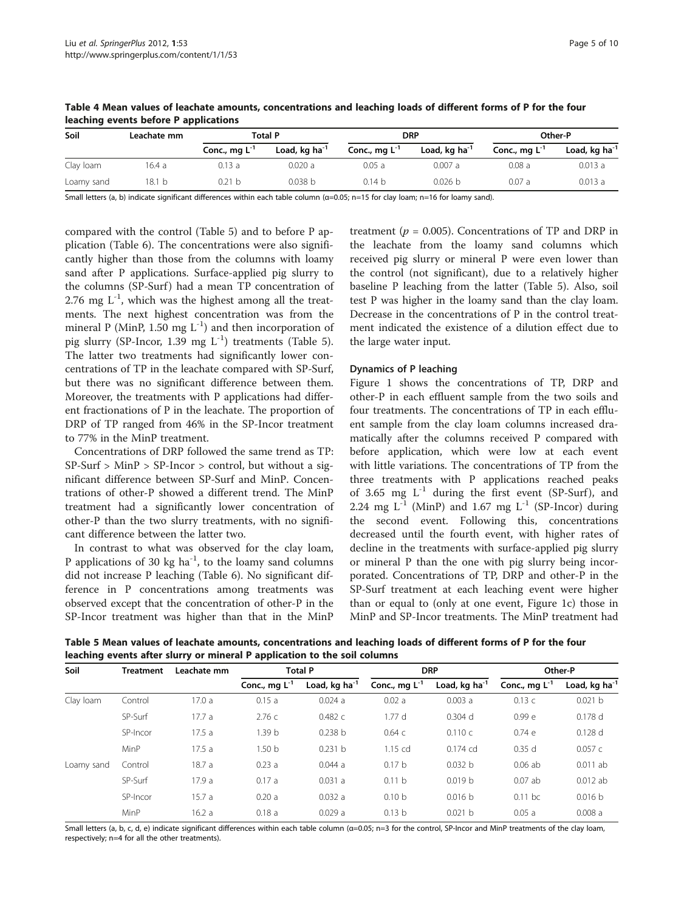| Soil       | Leachate mm | Total P            |                    |                           | <b>DRP</b>                | Other-P            |                     |
|------------|-------------|--------------------|--------------------|---------------------------|---------------------------|--------------------|---------------------|
|            |             | Conc., $mq L^{-1}$ | Load, kg $ha^{-1}$ | Conc., mg L <sup>-1</sup> | Load, kg ha <sup>-1</sup> | Conc., $mq L^{-1}$ | Load, kg ha $^{-1}$ |
| Clay Ioam  | 16.4 a      | 0.13a              | 0.020a             | 0.05a                     | 0.007a                    | 0.08a              | 0.013a              |
| Loamy sand | 18.1 b      | 0.21 b             | 0.038 <sub>b</sub> | 0.14 h                    | 0.026 b                   | 0.07a              | 0.013a              |

<span id="page-4-0"></span>Table 4 Mean values of leachate amounts, concentrations and leaching loads of different forms of P for the four leaching events before P applications

Small letters (a, b) indicate significant differences within each table column (α=0.05; n=15 for clay loam; n=16 for loamy sand).

compared with the control (Table 5) and to before P application (Table [6\)](#page-5-0). The concentrations were also significantly higher than those from the columns with loamy sand after P applications. Surface-applied pig slurry to the columns (SP-Surf) had a mean TP concentration of 2.76 mg  $L^{-1}$ , which was the highest among all the treatments. The next highest concentration was from the mineral P (MinP, 1.50 mg  $L^{-1}$ ) and then incorporation of pig slurry (SP-Incor, 1.39 mg  $L^{-1}$ ) treatments (Table 5). The latter two treatments had significantly lower concentrations of TP in the leachate compared with SP-Surf, but there was no significant difference between them. Moreover, the treatments with P applications had different fractionations of P in the leachate. The proportion of DRP of TP ranged from 46% in the SP-Incor treatment to 77% in the MinP treatment.

Concentrations of DRP followed the same trend as TP: SP-Surf > MinP > SP-Incor > control, but without a significant difference between SP-Surf and MinP. Concentrations of other-P showed a different trend. The MinP treatment had a significantly lower concentration of other-P than the two slurry treatments, with no significant difference between the latter two.

In contrast to what was observed for the clay loam, P applications of 30 kg ha<sup>-1</sup>, to the loamy sand columns did not increase P leaching (Table [6](#page-5-0)). No significant difference in P concentrations among treatments was observed except that the concentration of other-P in the SP-Incor treatment was higher than that in the MinP

treatment ( $p = 0.005$ ). Concentrations of TP and DRP in the leachate from the loamy sand columns which received pig slurry or mineral P were even lower than the control (not significant), due to a relatively higher baseline P leaching from the latter (Table 5). Also, soil test P was higher in the loamy sand than the clay loam. Decrease in the concentrations of P in the control treatment indicated the existence of a dilution effect due to the large water input.

## Dynamics of P leaching

Figure [1](#page-5-0) shows the concentrations of TP, DRP and other-P in each effluent sample from the two soils and four treatments. The concentrations of TP in each effluent sample from the clay loam columns increased dramatically after the columns received P compared with before application, which were low at each event with little variations. The concentrations of TP from the three treatments with P applications reached peaks of 3.65 mg  $L^{-1}$  during the first event (SP-Surf), and 2.24 mg  $L^{-1}$  (MinP) and 1.67 mg  $L^{-1}$  (SP-Incor) during the second event. Following this, concentrations decreased until the fourth event, with higher rates of decline in the treatments with surface-applied pig slurry or mineral P than the one with pig slurry being incorporated. Concentrations of TP, DRP and other-P in the SP-Surf treatment at each leaching event were higher than or equal to (only at one event, Figure [1c](#page-5-0)) those in MinP and SP-Incor treatments. The MinP treatment had

Table 5 Mean values of leachate amounts, concentrations and leaching loads of different forms of P for the four leaching events after slurry or mineral P application to the soil columns

| Soil       | <b>Treatment</b> | Leachate mm | <b>Total P</b>     |                    | <b>DRP</b>         |                    | Other-P            |                     |
|------------|------------------|-------------|--------------------|--------------------|--------------------|--------------------|--------------------|---------------------|
|            |                  |             | Conc., mg $L^{-1}$ | Load, kg $ha^{-1}$ | Conc., mg $L^{-1}$ | Load, kg $ha^{-1}$ | Conc., mg $L^{-1}$ | Load, kg ha $^{-1}$ |
| Clay loam  | Control          | 17.0a       | 0.15a              | 0.024a             | 0.02a              | 0.003a             | 0.13c              | 0.021 b             |
|            | SP-Surf          | 17.7a       | 2.76c              | 0.482c             | 1.77d              | $0.304$ d          | 0.99 e             | 0.178 d             |
|            | SP-Incor         | 17.5a       | 1.39 <sub>b</sub>  | 0.238 b            | 0.64c              | 0.110c             | 0.74e              | $0.128$ d           |
|            | MinP             | 17.5a       | 1.50 <sub>b</sub>  | 0.231 b            | $1.15$ cd          | 0.174 cd           | 0.35d              | 0.057c              |
| Loamy sand | Control          | 18.7a       | 0.23a              | 0.044a             | 0.17 <sub>b</sub>  | 0.032 b            | $0.06$ ab          | $0.011$ ab          |
|            | SP-Surf          | 17.9a       | 0.17a              | 0.031a             | 0.11 b             | 0.019 <sub>b</sub> | $0.07$ ab          | $0.012$ ab          |
|            | SP-Incor         | 15.7a       | 0.20a              | 0.032a             | 0.10 <sub>b</sub>  | 0.016 <sub>b</sub> | $0.11$ bc          | 0.016 b             |
|            | MinP             | 16.2a       | 0.18a              | 0.029a             | 0.13 <sub>b</sub>  | 0.021 h            | 0.05a              | 0.008a              |

Small letters (a, b, c, d, e) indicate significant differences within each table column (α=0.05; n=3 for the control, SP-Incor and MinP treatments of the clay loam, respectively; n=4 for all the other treatments).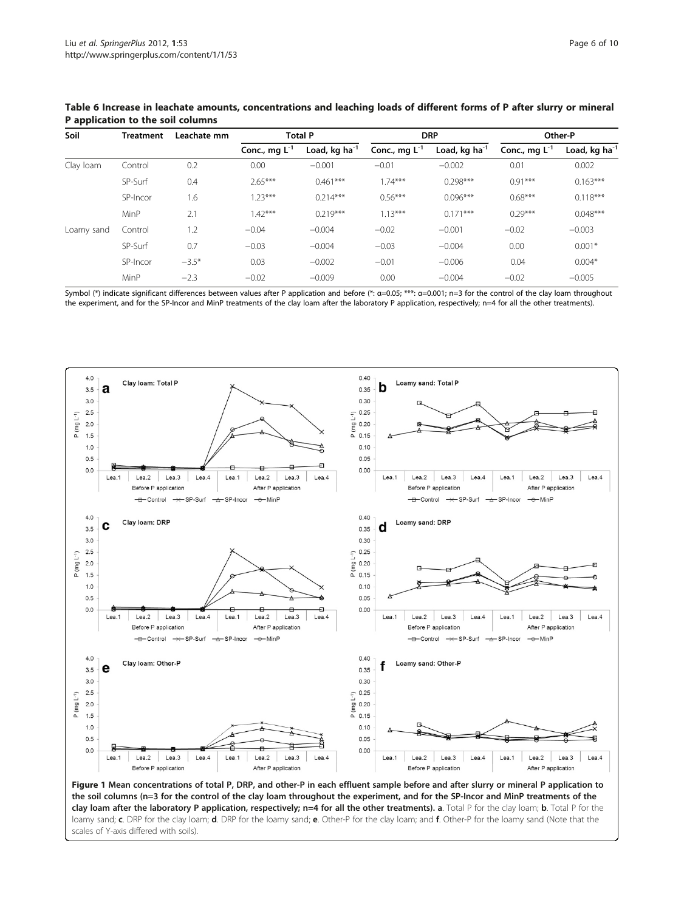| Soil       | <b>Treatment</b> | Leachate mm | <b>Total P</b>     |                           | <b>DRP</b>         |                    | Other-P            |                    |
|------------|------------------|-------------|--------------------|---------------------------|--------------------|--------------------|--------------------|--------------------|
|            |                  |             | Conc., mg $L^{-1}$ | Load, kg ha <sup>-1</sup> | Conc., mg $L^{-1}$ | Load, kg $ha^{-1}$ | Conc., mg $L^{-1}$ | Load, kg $ha^{-1}$ |
| Clay loam  | Control          | 0.2         | 0.00               | $-0.001$                  | $-0.01$            | $-0.002$           | 0.01               | 0.002              |
|            | SP-Surf          | 0.4         | $2.65***$          | $0.461***$                | $1.74***$          | $0.298***$         | $0.91***$          | $0.163***$         |
|            | SP-Incor         | 1.6         | $.23***$           | $0.214***$                | $0.56***$          | $0.096***$         | $0.68***$          | $0.118***$         |
|            | MinP             | 2.1         | $1.42***$          | $0.219***$                | $1.13***$          | $0.171***$         | $0.29***$          | $0.048***$         |
| Loamy sand | Control          | 1.2         | $-0.04$            | $-0.004$                  | $-0.02$            | $-0.001$           | $-0.02$            | $-0.003$           |
|            | SP-Surf          | 0.7         | $-0.03$            | $-0.004$                  | $-0.03$            | $-0.004$           | 0.00               | $0.001*$           |
|            | SP-Incor         | $-3.5*$     | 0.03               | $-0.002$                  | $-0.01$            | $-0.006$           | 0.04               | $0.004*$           |
|            | MinP             | $-2.3$      | $-0.02$            | $-0.009$                  | 0.00               | $-0.004$           | $-0.02$            | $-0.005$           |

<span id="page-5-0"></span>

| Table 6 Increase in leachate amounts, concentrations and leaching loads of different forms of P after slurry or mineral |  |
|-------------------------------------------------------------------------------------------------------------------------|--|
| P application to the soil columns                                                                                       |  |

Symbol (\*) indicate significant differences between values after P application and before (\*: α=0.05; \*\*\*: α=0.001; n=3 for the control of the clay loam throughout the experiment, and for the SP-Incor and MinP treatments of the clay loam after the laboratory P application, respectively; n=4 for all the other treatments).



clay loam after the laboratory P application, respectively; n=4 for all the other treatments). a. Total P for the clay loam; b. Total P for the loamy sand; c. DRP for the clay loam; d. DRP for the loamy sand; e. Other-P for the clay loam; and f. Other-P for the loamy sand (Note that the scales of Y-axis differed with soils).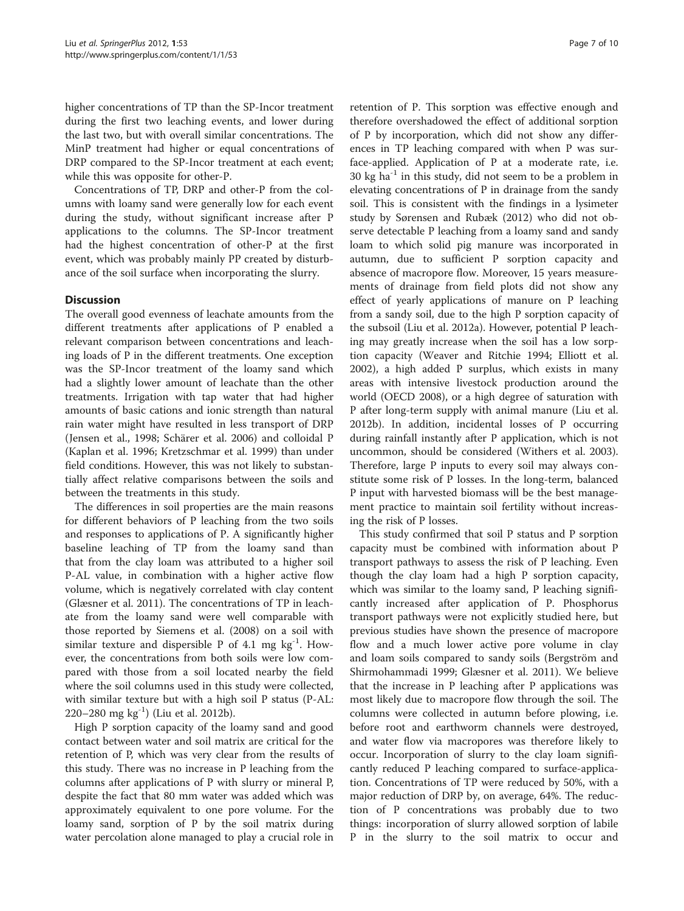higher concentrations of TP than the SP-Incor treatment during the first two leaching events, and lower during the last two, but with overall similar concentrations. The MinP treatment had higher or equal concentrations of DRP compared to the SP-Incor treatment at each event; while this was opposite for other-P.

Concentrations of TP, DRP and other-P from the columns with loamy sand were generally low for each event during the study, without significant increase after P applications to the columns. The SP-Incor treatment had the highest concentration of other-P at the first event, which was probably mainly PP created by disturbance of the soil surface when incorporating the slurry.

## **Discussion**

The overall good evenness of leachate amounts from the different treatments after applications of P enabled a relevant comparison between concentrations and leaching loads of P in the different treatments. One exception was the SP-Incor treatment of the loamy sand which had a slightly lower amount of leachate than the other treatments. Irrigation with tap water that had higher amounts of basic cations and ionic strength than natural rain water might have resulted in less transport of DRP (Jensen et al., [1998;](#page-8-0) Schärer et al. [2006](#page-8-0)) and colloidal P (Kaplan et al. [1996;](#page-8-0) Kretzschmar et al. [1999](#page-8-0)) than under field conditions. However, this was not likely to substantially affect relative comparisons between the soils and between the treatments in this study.

The differences in soil properties are the main reasons for different behaviors of P leaching from the two soils and responses to applications of P. A significantly higher baseline leaching of TP from the loamy sand than that from the clay loam was attributed to a higher soil P-AL value, in combination with a higher active flow volume, which is negatively correlated with clay content (Glæsner et al. [2011\)](#page-8-0). The concentrations of TP in leachate from the loamy sand were well comparable with those reported by Siemens et al. [\(2008\)](#page-9-0) on a soil with similar texture and dispersible P of 4.1 mg  $kg^{-1}$ . However, the concentrations from both soils were low compared with those from a soil located nearby the field where the soil columns used in this study were collected, with similar texture but with a high soil P status (P-AL: 220–280 mg  $kg^{-1}$ ) (Liu et al. [2012b\)](#page-8-0).

High P sorption capacity of the loamy sand and good contact between water and soil matrix are critical for the retention of P, which was very clear from the results of this study. There was no increase in P leaching from the columns after applications of P with slurry or mineral P, despite the fact that 80 mm water was added which was approximately equivalent to one pore volume. For the loamy sand, sorption of P by the soil matrix during water percolation alone managed to play a crucial role in

retention of P. This sorption was effective enough and therefore overshadowed the effect of additional sorption of P by incorporation, which did not show any differences in TP leaching compared with when P was surface-applied. Application of P at a moderate rate, i.e. 30 kg ha<sup>-1</sup> in this study, did not seem to be a problem in elevating concentrations of P in drainage from the sandy soil. This is consistent with the findings in a lysimeter study by Sørensen and Rubæk [\(2012\)](#page-9-0) who did not observe detectable P leaching from a loamy sand and sandy loam to which solid pig manure was incorporated in autumn, due to sufficient P sorption capacity and absence of macropore flow. Moreover, 15 years measurements of drainage from field plots did not show any effect of yearly applications of manure on P leaching from a sandy soil, due to the high P sorption capacity of the subsoil (Liu et al. [2012a\)](#page-8-0). However, potential P leaching may greatly increase when the soil has a low sorption capacity (Weaver and Ritchie [1994;](#page-9-0) Elliott et al. [2002](#page-8-0)), a high added P surplus, which exists in many areas with intensive livestock production around the world (OECD [2008\)](#page-8-0), or a high degree of saturation with P after long-term supply with animal manure (Liu et al. [2012b](#page-8-0)). In addition, incidental losses of P occurring during rainfall instantly after P application, which is not uncommon, should be considered (Withers et al. [2003](#page-9-0)). Therefore, large P inputs to every soil may always constitute some risk of P losses. In the long-term, balanced P input with harvested biomass will be the best management practice to maintain soil fertility without increasing the risk of P losses.

This study confirmed that soil P status and P sorption capacity must be combined with information about P transport pathways to assess the risk of P leaching. Even though the clay loam had a high P sorption capacity, which was similar to the loamy sand, P leaching significantly increased after application of P. Phosphorus transport pathways were not explicitly studied here, but previous studies have shown the presence of macropore flow and a much lower active pore volume in clay and loam soils compared to sandy soils (Bergström and Shirmohammadi [1999](#page-8-0); Glæsner et al. [2011](#page-8-0)). We believe that the increase in P leaching after P applications was most likely due to macropore flow through the soil. The columns were collected in autumn before plowing, i.e. before root and earthworm channels were destroyed, and water flow via macropores was therefore likely to occur. Incorporation of slurry to the clay loam significantly reduced P leaching compared to surface-application. Concentrations of TP were reduced by 50%, with a major reduction of DRP by, on average, 64%. The reduction of P concentrations was probably due to two things: incorporation of slurry allowed sorption of labile P in the slurry to the soil matrix to occur and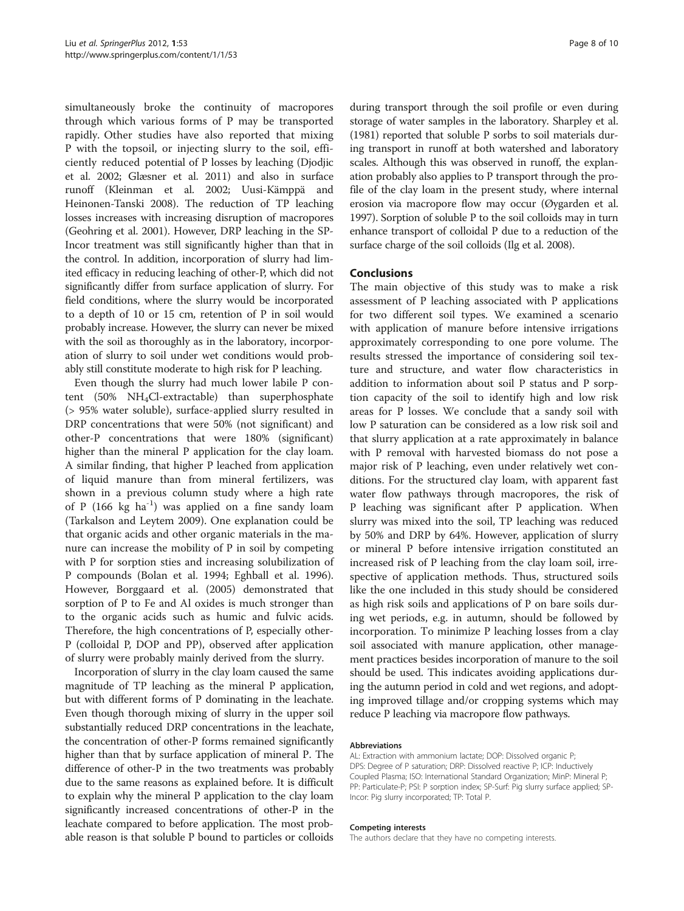simultaneously broke the continuity of macropores through which various forms of P may be transported rapidly. Other studies have also reported that mixing P with the topsoil, or injecting slurry to the soil, efficiently reduced potential of P losses by leaching (Djodjic et al. [2002;](#page-8-0) Glæsner et al. [2011\)](#page-8-0) and also in surface runoff (Kleinman et al. [2002](#page-8-0); Uusi-Kämppä and Heinonen-Tanski [2008](#page-9-0)). The reduction of TP leaching losses increases with increasing disruption of macropores (Geohring et al. [2001\)](#page-8-0). However, DRP leaching in the SP-Incor treatment was still significantly higher than that in the control. In addition, incorporation of slurry had limited efficacy in reducing leaching of other-P, which did not significantly differ from surface application of slurry. For field conditions, where the slurry would be incorporated to a depth of 10 or 15 cm, retention of P in soil would probably increase. However, the slurry can never be mixed with the soil as thoroughly as in the laboratory, incorporation of slurry to soil under wet conditions would probably still constitute moderate to high risk for P leaching.

Even though the slurry had much lower labile P content  $(50\% \quad NH_4Cl$ -extractable) than superphosphate (> 95% water soluble), surface-applied slurry resulted in DRP concentrations that were 50% (not significant) and other-P concentrations that were 180% (significant) higher than the mineral P application for the clay loam. A similar finding, that higher P leached from application of liquid manure than from mineral fertilizers, was shown in a previous column study where a high rate of P (166 kg ha<sup>-1</sup>) was applied on a fine sandy loam (Tarkalson and Leytem [2009\)](#page-9-0). One explanation could be that organic acids and other organic materials in the manure can increase the mobility of P in soil by competing with P for sorption sties and increasing solubilization of P compounds (Bolan et al. [1994;](#page-8-0) Eghball et al. [1996](#page-8-0)). However, Borggaard et al. [\(2005](#page-8-0)) demonstrated that sorption of P to Fe and Al oxides is much stronger than to the organic acids such as humic and fulvic acids. Therefore, the high concentrations of P, especially other-P (colloidal P, DOP and PP), observed after application of slurry were probably mainly derived from the slurry.

Incorporation of slurry in the clay loam caused the same magnitude of TP leaching as the mineral P application, but with different forms of P dominating in the leachate. Even though thorough mixing of slurry in the upper soil substantially reduced DRP concentrations in the leachate, the concentration of other-P forms remained significantly higher than that by surface application of mineral P. The difference of other-P in the two treatments was probably due to the same reasons as explained before. It is difficult to explain why the mineral P application to the clay loam significantly increased concentrations of other-P in the leachate compared to before application. The most probable reason is that soluble P bound to particles or colloids

during transport through the soil profile or even during storage of water samples in the laboratory. Sharpley et al. ([1981](#page-8-0)) reported that soluble P sorbs to soil materials during transport in runoff at both watershed and laboratory scales. Although this was observed in runoff, the explanation probably also applies to P transport through the profile of the clay loam in the present study, where internal erosion via macropore flow may occur (Øygarden et al. [1997](#page-8-0)). Sorption of soluble P to the soil colloids may in turn enhance transport of colloidal P due to a reduction of the surface charge of the soil colloids (Ilg et al. [2008](#page-8-0)).

## **Conclusions**

The main objective of this study was to make a risk assessment of P leaching associated with P applications for two different soil types. We examined a scenario with application of manure before intensive irrigations approximately corresponding to one pore volume. The results stressed the importance of considering soil texture and structure, and water flow characteristics in addition to information about soil P status and P sorption capacity of the soil to identify high and low risk areas for P losses. We conclude that a sandy soil with low P saturation can be considered as a low risk soil and that slurry application at a rate approximately in balance with P removal with harvested biomass do not pose a major risk of P leaching, even under relatively wet conditions. For the structured clay loam, with apparent fast water flow pathways through macropores, the risk of P leaching was significant after P application. When slurry was mixed into the soil, TP leaching was reduced by 50% and DRP by 64%. However, application of slurry or mineral P before intensive irrigation constituted an increased risk of P leaching from the clay loam soil, irrespective of application methods. Thus, structured soils like the one included in this study should be considered as high risk soils and applications of P on bare soils during wet periods, e.g. in autumn, should be followed by incorporation. To minimize P leaching losses from a clay soil associated with manure application, other management practices besides incorporation of manure to the soil should be used. This indicates avoiding applications during the autumn period in cold and wet regions, and adopting improved tillage and/or cropping systems which may reduce P leaching via macropore flow pathways.

#### Abbreviations

AL: Extraction with ammonium lactate; DOP: Dissolved organic P; DPS: Degree of P saturation; DRP: Dissolved reactive P; ICP: Inductively Coupled Plasma; ISO: International Standard Organization; MinP: Mineral P; PP: Particulate-P; PSI: P sorption index; SP-Surf: Pig slurry surface applied; SP-Incor: Pig slurry incorporated; TP: Total P.

#### Competing interests

The authors declare that they have no competing interests.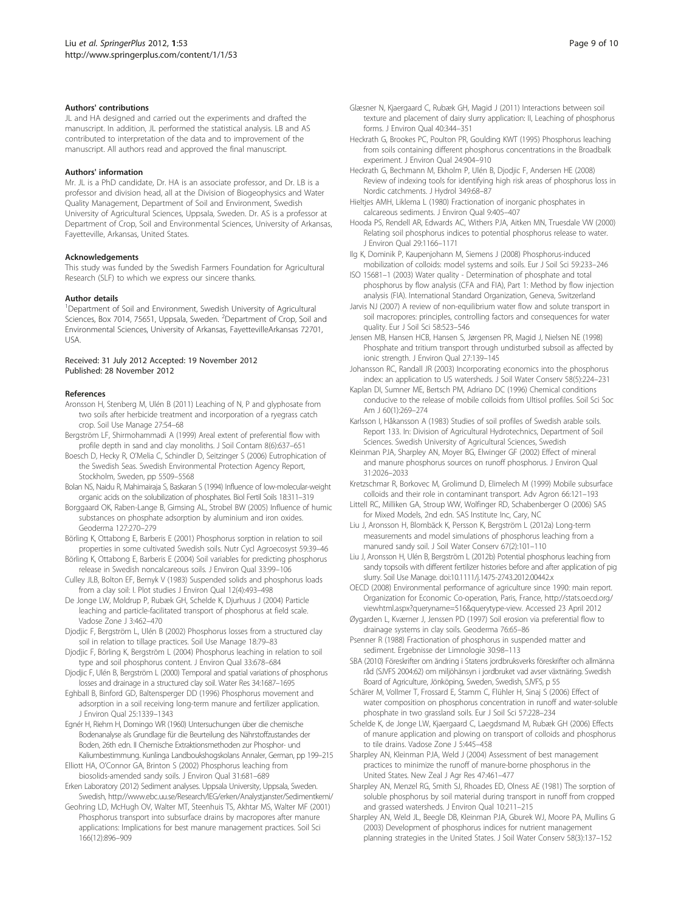#### <span id="page-8-0"></span>Authors' contributions

JL and HA designed and carried out the experiments and drafted the manuscript. In addition, JL performed the statistical analysis. LB and AS contributed to interpretation of the data and to improvement of the manuscript. All authors read and approved the final manuscript.

#### Authors' information

Mr. JL is a PhD candidate, Dr. HA is an associate professor, and Dr. LB is a professor and division head, all at the Division of Biogeophysics and Water Quality Management, Department of Soil and Environment, Swedish University of Agricultural Sciences, Uppsala, Sweden. Dr. AS is a professor at Department of Crop, Soil and Environmental Sciences, University of Arkansas, Fayetteville, Arkansas, United States.

#### Acknowledgements

This study was funded by the Swedish Farmers Foundation for Agricultural Research (SLF) to which we express our sincere thanks.

#### Author details

<sup>1</sup>Department of Soil and Environment, Swedish University of Agricultural Sciences, Box 7014, 75651, Uppsala, Sweden. <sup>2</sup>Department of Crop, Soil and Environmental Sciences, University of Arkansas, FayettevilleArkansas 72701, USA.

#### Received: 31 July 2012 Accepted: 19 November 2012 Published: 28 November 2012

#### References

- Aronsson H, Stenberg M, Ulén B (2011) Leaching of N, P and glyphosate from two soils after herbicide treatment and incorporation of a ryegrass catch crop. Soil Use Manage 27:54–68
- Bergström LF, Shirmohammadi A (1999) Areal extent of preferential flow with profile depth in sand and clay monoliths. J Soil Contam 8(6):637–651
- Boesch D, Hecky R, O'Melia C, Schindler D, Seitzinger S (2006) Eutrophication of the Swedish Seas. Swedish Environmental Protection Agency Report, Stockholm, Sweden, pp 5509–5568
- Bolan NS, Naidu R, Mahimairaja S, Baskaran S (1994) Influence of low-molecular-weight organic acids on the solubilization of phosphates. Biol Fertil Soils 18:311–319
- Borggaard OK, Raben-Lange B, Gimsing AL, Strobel BW (2005) Influence of humic substances on phosphate adsorption by aluminium and iron oxides. Geoderma 127:270–279
- Börling K, Ottabong E, Barberis E (2001) Phosphorus sorption in relation to soil properties in some cultivated Swedish soils. Nutr Cycl Agroecosyst 59:39–46
- Börling K, Ottabong E, Barberis E (2004) Soil variables for predicting phosphorus release in Swedish noncalcareous soils. J Environ Qual 33:99–106
- Culley JLB, Bolton EF, Bernyk V (1983) Suspended solids and phosphorus loads from a clay soil: I. Plot studies J Environ Qual 12(4):493–498
- De Jonge LW, Moldrup P, Rubæk GH, Schelde K, Djurhuus J (2004) Particle leaching and particle-facilitated transport of phosphorus at field scale. Vadose Zone J 3:462–470
- Djodjic F, Bergström L, Ulén B (2002) Phosphorus losses from a structured clay soil in relation to tillage practices. Soil Use Manage 18:79–83
- Djodjic F, Börling K, Bergström L (2004) Phosphorus leaching in relation to soil type and soil phosphorus content. J Environ Qual 33:678–684
- Djodjic F, Ulén B, Bergström L (2000) Temporal and spatial variations of phosphorus losses and drainage in a structured clay soil. Water Res 34:1687–1695
- Eghball B, Binford GD, Baltensperger DD (1996) Phosphorus movement and adsorption in a soil receiving long-term manure and fertilizer application. J Environ Qual 25:1339–1343
- Egnér H, Riehm H, Domingo WR (1960) Untersuchungen über die chemische Bodenanalyse als Grundlage für die Beurteilung des Nährstoffzustandes der Boden, 26th edn. II Chemische Extraktionsmethoden zur Phosphor- und Kaliumbestimmung. Kunlinga Landboukshogskolans Annaler, German, pp 199–215
- Elliott HA, O'Connor GA, Brinton S (2002) Phosphorus leaching from biosolids-amended sandy soils. J Environ Qual 31:681–689
- Erken Laboratory (2012) Sediment analyses. Uppsala University, Uppsala, Sweden. Swedish,<http://www.ebc.uu.se/Research/IEG/erken/Analystjanster/Sedimentkemi/>
- Geohring LD, McHugh OV, Walter MT, Steenhuis TS, Akhtar MS, Walter MF (2001) Phosphorus transport into subsurface drains by macropores after manure applications: Implications for best manure management practices. Soil Sci 166(12):896–909
- Glæsner N, Kjaergaard C, Rubæk GH, Magid J (2011) Interactions between soil texture and placement of dairy slurry application: II, Leaching of phosphorus
- forms. J Environ Qual 40:344–351 Heckrath G, Brookes PC, Poulton PR, Goulding KWT (1995) Phosphorus leaching from soils containing different phosphorus concentrations in the Broadbalk experiment. J Environ Qual 24:904–910
- Heckrath G, Bechmann M, Ekholm P, Ulén B, Djodjic F, Andersen HE (2008) Review of indexing tools for identifying high risk areas of phosphorus loss in Nordic catchments. J Hydrol 349:68–87
- Hieltjes AMH, Liklema L (1980) Fractionation of inorganic phosphates in calcareous sediments. J Environ Qual 9:405–407
- Hooda PS, Rendell AR, Edwards AC, Withers PJA, Aitken MN, Truesdale VW (2000) Relating soil phosphorus indices to potential phosphorus release to water. J Environ Qual 29:1166–1171
- Ilg K, Dominik P, Kaupenjohann M, Siemens J (2008) Phosphorus-induced mobilization of colloids: model systems and soils. Eur J Soil Sci 59:233–246
- ISO 15681–1 (2003) Water quality Determination of phosphate and total phosphorus by flow analysis (CFA and FIA), Part 1: Method by flow injection analysis (FIA). International Standard Organization, Geneva, Switzerland
- Jarvis NJ (2007) A review of non-equilibrium water flow and solute transport in soil macropores: principles, controlling factors and consequences for water quality. Eur J Soil Sci 58:523–546
- Jensen MB, Hansen HCB, Hansen S, Jørgensen PR, Magid J, Nielsen NE (1998) Phosphate and tritium transport through undisturbed subsoil as affected by ionic strength. J Environ Qual 27:139–145
- Johansson RC, Randall JR (2003) Incorporating economics into the phosphorus index: an application to US watersheds. J Soil Water Conserv 58(5):224–231
- Kaplan DI, Sumner ME, Bertsch PM, Adriano DC (1996) Chemical conditions conducive to the release of mobile colloids from Ultisol profiles. Soil Sci Soc Am J 60(1):269–274
- Karlsson I, Håkansson A (1983) Studies of soil profiles of Swedish arable soils. Report 133. In: Division of Agricultural Hydrotechnics, Department of Soil Sciences. Swedish University of Agricultural Sciences, Swedish
- Kleinman PJA, Sharpley AN, Moyer BG, Elwinger GF (2002) Effect of mineral and manure phosphorus sources on runoff phosphorus. J Environ Qual 31:2026–2033
- Kretzschmar R, Borkovec M, Grolimund D, Elimelech M (1999) Mobile subsurface colloids and their role in contaminant transport. Adv Agron 66:121–193
- Littell RC, Milliken GA, Stroup WW, Wolfinger RD, Schabenberger O (2006) SAS for Mixed Models, 2nd edn. SAS Institute Inc, Cary, NC
- Liu J, Aronsson H, Blombäck K, Persson K, Bergström L (2012a) Long-term measurements and model simulations of phosphorus leaching from a manured sandy soil. J Soil Water Conserv 67(2):101–110
- Liu J, Aronsson H, Ulén B, Bergström L (2012b) Potential phosphorus leaching from sandy topsoils with different fertilizer histories before and after application of pig slurry. Soil Use Manage. doi:[10.1111/j.1475-2743.2012.00442.x](http://dx.doi.org/10.1111/j.1475-2743.2012.00442.x)

OECD (2008) Environmental performance of agriculture since 1990: main report. Organization for Economic Co-operation, Paris, France, [http://stats.oecd.org/](http://stats.oecd.org/viewhtml.aspx?queryname=516&querytype-view) [viewhtml.aspx?queryname=516&querytype-view](http://stats.oecd.org/viewhtml.aspx?queryname=516&querytype-view). Accessed 23 April 2012

- Øygarden L, Kværner J, Jenssen PD (1997) Soil erosion via preferential flow to drainage systems in clay soils. Geoderma 76:65–86
- Psenner R (1988) Fractionation of phosphorus in suspended matter and sediment. Ergebnisse der Limnologie 30:98–113
- SBA (2010) Föreskrifter om ändring i Statens jordbruksverks föreskrifter och allmänna råd (SJVFS 2004:62) om miljöhänsyn i jordbruket vad avser växtnäring. Swedish Board of Agriculture, Jönköping, Sweden, Swedish, SJVFS, p 55
- Schärer M, Vollmer T, Frossard E, Stamm C, Flühler H, Sinaj S (2006) Effect of water composition on phosphorus concentration in runoff and water-soluble phosphate in two grassland soils. Eur J Soil Sci 57:228–234
- Schelde K, de Jonge LW, Kjaergaard C, Laegdsmand M, Rubæk GH (2006) Effects of manure application and plowing on transport of colloids and phosphorus to tile drains. Vadose Zone J 5:445–458
- Sharpley AN, Kleinman PJA, Weld J (2004) Assessment of best management practices to minimize the runoff of manure-borne phosphorus in the United States. New Zeal J Agr Res 47:461–477
- Sharpley AN, Menzel RG, Smith SJ, Rhoades ED, Olness AE (1981) The sorption of soluble phosphorus by soil material during transport in runoff from cropped and grassed watersheds. J Environ Qual 10:211–215
- Sharpley AN, Weld JL, Beegle DB, Kleinman PJA, Gburek WJ, Moore PA, Mullins G (2003) Development of phosphorus indices for nutrient management planning strategies in the United States. J Soil Water Conserv 58(3):137–152